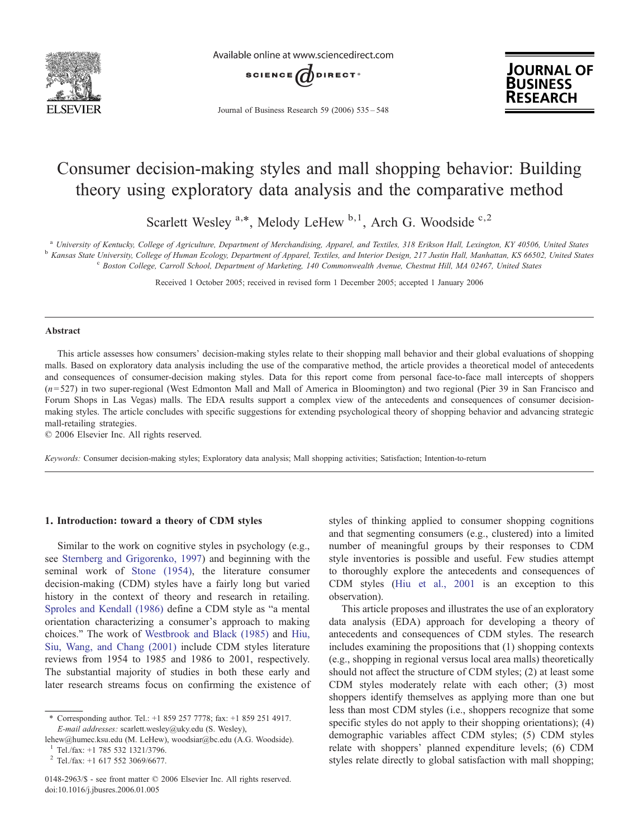

Available online at www.sciencedirect.com



Journal of Business Research 59 (2006) 535–548



## Consumer decision-making styles and mall shopping behavior: Building theory using exploratory data analysis and the comparative method

Scarlett Wesley  $a,*$ , Melody LeHew  $b,1$ , Arch G. Woodside  $c,2$ 

<sup>a</sup> University of Kentucky, College of Agriculture, Department of Merchandising, Apparel, and Textiles, 318 Erikson Hall, Lexington, KY 40506, United States<br><sup>b</sup> Kansas State University, College of Human Ecology, Department

Received 1 October 2005; received in revised form 1 December 2005; accepted 1 January 2006

#### Abstract

This article assesses how consumers' decision-making styles relate to their shopping mall behavior and their global evaluations of shopping malls. Based on exploratory data analysis including the use of the comparative method, the article provides a theoretical model of antecedents and consequences of consumer-decision making styles. Data for this report come from personal face-to-face mall intercepts of shoppers  $(n=527)$  in two super-regional (West Edmonton Mall and Mall of America in Bloomington) and two regional (Pier 39 in San Francisco and Forum Shops in Las Vegas) malls. The EDA results support a complex view of the antecedents and consequences of consumer decisionmaking styles. The article concludes with specific suggestions for extending psychological theory of shopping behavior and advancing strategic mall-retailing strategies.

© 2006 Elsevier Inc. All rights reserved.

Keywords: Consumer decision-making styles; Exploratory data analysis; Mall shopping activities; Satisfaction; Intention-to-return

### 1. Introduction: toward a theory of CDM styles

Similar to the work on cognitive styles in psychology (e.g., see [Sternberg and Grigorenko, 1997](#page--1-0)) and beginning with the seminal work of [Stone \(1954\),](#page--1-0) the literature consumer decision-making (CDM) styles have a fairly long but varied history in the context of theory and research in retailing. [Sproles and Kendall \(1986\)](#page--1-0) define a CDM style as "a mental orientation characterizing a consumer's approach to making choices." The work of [Westbrook and Black \(1985\)](#page--1-0) and [Hiu,](#page--1-0) [Siu, Wang, and Chang \(2001\)](#page--1-0) include CDM styles literature reviews from 1954 to 1985 and 1986 to 2001, respectively. The substantial majority of studies in both these early and later research streams focus on confirming the existence of

lehew@humec.ksu.edu (M. LeHew), woodsiar@bc.edu (A.G. Woodside).

 $\frac{1}{2}$  Tel./fax: +1 785 532 1321/3796.<br> $\frac{2}{2}$  Tel./fax: +1 617 552 3069/6677.

styles of thinking applied to consumer shopping cognitions and that segmenting consumers (e.g., clustered) into a limited number of meaningful groups by their responses to CDM style inventories is possible and useful. Few studies attempt to thoroughly explore the antecedents and consequences of CDM styles [\(Hiu et al., 2001](#page--1-0) is an exception to this observation).

This article proposes and illustrates the use of an exploratory data analysis (EDA) approach for developing a theory of antecedents and consequences of CDM styles. The research includes examining the propositions that (1) shopping contexts (e.g., shopping in regional versus local area malls) theoretically should not affect the structure of CDM styles; (2) at least some CDM styles moderately relate with each other; (3) most shoppers identify themselves as applying more than one but less than most CDM styles (i.e., shoppers recognize that some specific styles do not apply to their shopping orientations); (4) demographic variables affect CDM styles; (5) CDM styles relate with shoppers' planned expenditure levels; (6) CDM styles relate directly to global satisfaction with mall shopping;

<sup>⁎</sup> Corresponding author. Tel.: +1 859 257 7778; fax: +1 859 251 4917. E-mail addresses: scarlett.wesley@uky.edu (S. Wesley),

<sup>0148-2963/\$ -</sup> see front matter © 2006 Elsevier Inc. All rights reserved. doi:10.1016/j.jbusres.2006.01.005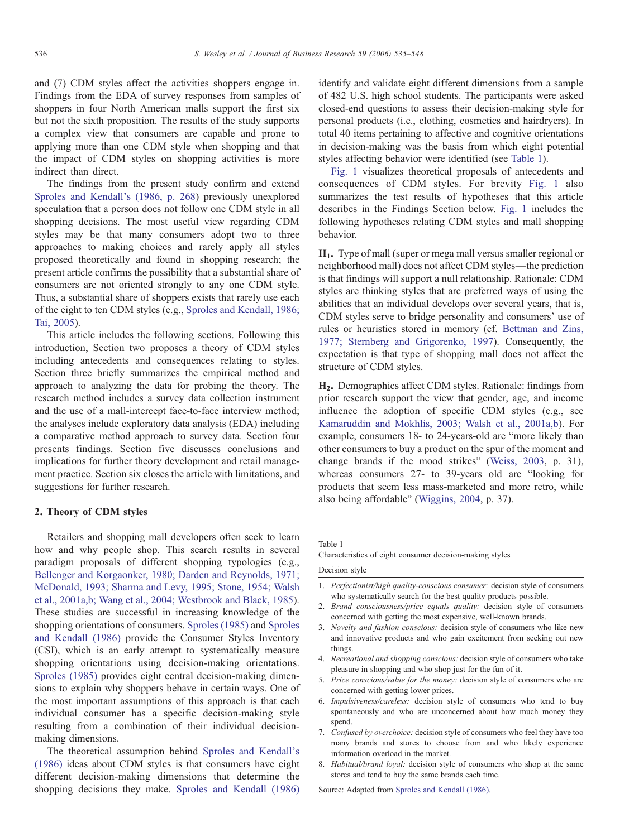and (7) CDM styles affect the activities shoppers engage in. Findings from the EDA of survey responses from samples of shoppers in four North American malls support the first six but not the sixth proposition. The results of the study supports a complex view that consumers are capable and prone to applying more than one CDM style when shopping and that the impact of CDM styles on shopping activities is more indirect than direct.

The findings from the present study confirm and extend [Sproles and Kendall's \(1986, p. 268](#page--1-0)) previously unexplored speculation that a person does not follow one CDM style in all shopping decisions. The most useful view regarding CDM styles may be that many consumers adopt two to three approaches to making choices and rarely apply all styles proposed theoretically and found in shopping research; the present article confirms the possibility that a substantial share of consumers are not oriented strongly to any one CDM style. Thus, a substantial share of shoppers exists that rarely use each of the eight to ten CDM styles (e.g., [Sproles and Kendall, 1986;](#page--1-0) [Tai, 2005\)](#page--1-0).

This article includes the following sections. Following this introduction, Section two proposes a theory of CDM styles including antecedents and consequences relating to styles. Section three briefly summarizes the empirical method and approach to analyzing the data for probing the theory. The research method includes a survey data collection instrument and the use of a mall-intercept face-to-face interview method; the analyses include exploratory data analysis (EDA) including a comparative method approach to survey data. Section four presents findings. Section five discusses conclusions and implications for further theory development and retail management practice. Section six closes the article with limitations, and suggestions for further research.

#### 2. Theory of CDM styles

Retailers and shopping mall developers often seek to learn how and why people shop. This search results in several paradigm proposals of different shopping typologies (e.g., [Bellenger and Korgaonker, 1980; Darden and Reynolds, 1971;](#page--1-0) [McDonald, 1993; Sharma and Levy, 1995; Stone, 1954; Walsh](#page--1-0) [et al., 2001a,b; Wang et al., 2004; Westbrook and Black, 1985](#page--1-0)). These studies are successful in increasing knowledge of the shopping orientations of consumers. [Sproles \(1985\)](#page--1-0) and [Sproles](#page--1-0) [and Kendall \(1986\)](#page--1-0) provide the Consumer Styles Inventory (CSI), which is an early attempt to systematically measure shopping orientations using decision-making orientations. [Sproles \(1985\)](#page--1-0) provides eight central decision-making dimensions to explain why shoppers behave in certain ways. One of the most important assumptions of this approach is that each individual consumer has a specific decision-making style resulting from a combination of their individual decisionmaking dimensions.

The theoretical assumption behind [Sproles and Kendall's](#page--1-0) [\(1986\)](#page--1-0) ideas about CDM styles is that consumers have eight different decision-making dimensions that determine the shopping decisions they make. [Sproles and Kendall \(1986\)](#page--1-0) identify and validate eight different dimensions from a sample of 482 U.S. high school students. The participants were asked closed-end questions to assess their decision-making style for personal products (i.e., clothing, cosmetics and hairdryers). In total 40 items pertaining to affective and cognitive orientations in decision-making was the basis from which eight potential styles affecting behavior were identified (see Table 1).

[Fig. 1](#page--1-0) visualizes theoretical proposals of antecedents and consequences of CDM styles. For brevity [Fig. 1](#page--1-0) also summarizes the test results of hypotheses that this article describes in the Findings Section below. [Fig. 1](#page--1-0) includes the following hypotheses relating CDM styles and mall shopping behavior.

H1. Type of mall (super or mega mall versus smaller regional or neighborhood mall) does not affect CDM styles—the prediction is that findings will support a null relationship. Rationale: CDM styles are thinking styles that are preferred ways of using the abilities that an individual develops over several years, that is, CDM styles serve to bridge personality and consumers' use of rules or heuristics stored in memory (cf. [Bettman and Zins,](#page--1-0) [1977; Sternberg and Grigorenko, 1997](#page--1-0)). Consequently, the expectation is that type of shopping mall does not affect the structure of CDM styles.

H2. Demographics affect CDM styles. Rationale: findings from prior research support the view that gender, age, and income influence the adoption of specific CDM styles (e.g., see [Kamaruddin and Mokhlis, 2003; Walsh et al., 2001a,b](#page--1-0)). For example, consumers 18- to 24-years-old are "more likely than other consumers to buy a product on the spur of the moment and change brands if the mood strikes" [\(Weiss, 2003,](#page--1-0) p. 31), whereas consumers 27- to 39-years old are "looking for products that seem less mass-marketed and more retro, while also being affordable" [\(Wiggins, 2004,](#page--1-0) p. 37).

Table 1

Characteristics of eight consumer decision-making styles

| Decision style |                                                                                                                                                                      |
|----------------|----------------------------------------------------------------------------------------------------------------------------------------------------------------------|
|                | 1. Perfectionist/high quality-conscious consumer: decision style of consumers<br>who systematically search for the best quality products possible.                   |
|                | 2. Brand consciousness/price equals quality: decision style of consumers<br>concerned with getting the most expensive, well-known brands.                            |
|                | 3. <i>Novelty and fashion conscious:</i> decision style of consumers who like new<br>and innovative products and who gain excitement from seeking out new<br>things. |
|                | 4. Recreational and shopping conscious: decision style of consumers who take<br>pleasure in shopping and who shop just for the fun of it.                            |
|                | 5. Price conscious/value for the money: decision style of consumers who are                                                                                          |

- concerned with getting lower prices.
- 6. Impulsiveness/careless: decision style of consumers who tend to buy spontaneously and who are unconcerned about how much money they spend.
- 7. Confused by overchoice: decision style of consumers who feel they have too many brands and stores to choose from and who likely experience information overload in the market.
- 8. Habitual/brand loyal: decision style of consumers who shop at the same stores and tend to buy the same brands each time.

Source: Adapted from [Sproles and Kendall \(1986\)](#page--1-0).